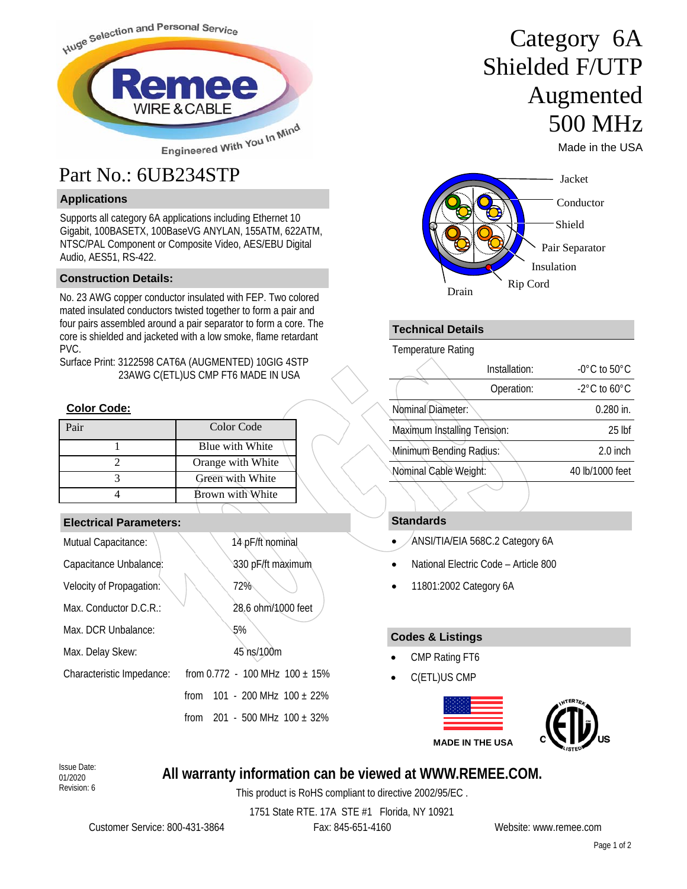

### **Applications**

Supports all category 6A applications including Ethernet 10 Gigabit, 100BASETX, 100BaseVG ANYLAN, 155ATM, 622ATM, NTSC/PAL Component or Composite Video, AES/EBU Digital Audio, AES51, RS-422.

#### **Construction Details:**

No. 23 AWG copper conductor insulated with FEP. Two colored mated insulated conductors twisted together to form a pair and four pairs assembled around a pair separator to form a core. The core is shielded and jacketed with a low smoke, flame retardant PVC.

Surface Print: 3122598 CAT6A (AUGMENTED) 10GIG 4STP 23AWG C(ETL)US CMP FT6 MADE IN USA

#### **Color Code:**

| Pair | Color Code        |
|------|-------------------|
|      | Blue with White   |
|      | Orange with White |
|      | Green with White  |
|      | Brown with White  |

### **Electrical Parameters:**

| Mutual Capacitance:       |      | 14 pF/ft nominal                    |
|---------------------------|------|-------------------------------------|
| Capacitance Unbalance:    |      | 330 pF/ft maximum                   |
| Velocity of Propagation:  |      | 72%                                 |
| Max. Conductor D.C.R.:    |      | 28.6 ohm/1000 feet                  |
| Max. DCR Unbalance:       |      | 5%                                  |
| Max. Delay Skew:          |      | 45 ns/100m                          |
| Characteristic Impedance: |      | from 0.772 - 100 MHz $100 \pm 15\%$ |
|                           | from | 101 - 200 MHz $100 + 22\%$          |
|                           | from | 201 - 500 MHz $100 \pm 32\%$        |

# Category 6A Shielded F/UTP Augmented 500 MHz

Made in the USA



### **Technical Details**

Temperature Rating

| $-0^{\circ}$ C to 50 $^{\circ}$ C |
|-----------------------------------|
| $-2^{\circ}$ C to 60 $^{\circ}$ C |
| $0.280$ in.                       |
| $25$ lbf                          |
| $2.0$ inch                        |
| 40 lb/1000 feet                   |
|                                   |

### **Standards**

- ANSI/TIA/EIA 568C.2 Category 6A
- National Electric Code Article 800
- 11801:2002 Category 6A

### **Codes & Listings**

- CMP Rating FT6
- C(ETL)US CMP



01/2020 Revision: 6

### **All warranty information can be viewed at WWW.REMEE.COM.** Issue Date:

This product is RoHS compliant to directive 2002/95/EC .

1751 State RTE. 17A STE #1 Florida, NY 10921

Customer Service: 800-431-3864 Fax: 845-651-4160 Website: www.remee.com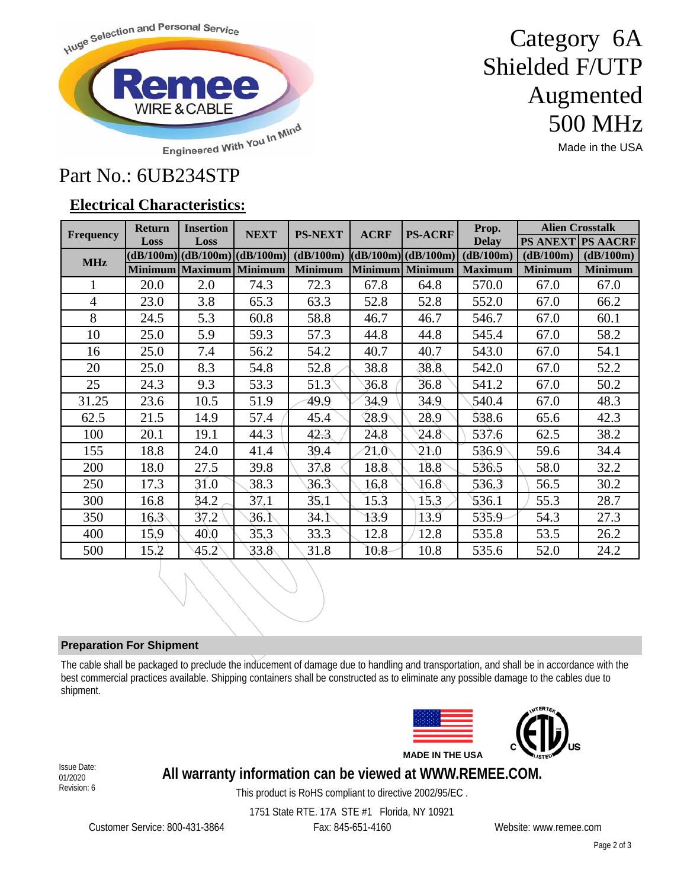

## Category 6A Shielded F/UTP Augmented 500 MHz

Made in the USA

## Part No.: 6UB234STP

### **Electrical Characteristics:**

| <b>Frequency</b> | <b>Return</b>  | <b>Insertion</b>                    | <b>NEXT</b> | <b>PS-NEXT</b> | <b>ACRF</b>    | <b>PS-ACRF</b>     | Prop.          | <b>Alien Crosstalk</b> |                          |
|------------------|----------------|-------------------------------------|-------------|----------------|----------------|--------------------|----------------|------------------------|--------------------------|
|                  | Loss           | Loss                                |             |                |                |                    | <b>Delay</b>   |                        | <b>PS ANEXT PS AACRF</b> |
| <b>MHz</b>       |                | $(dB/100m)$ $(dB/100m)$ $(dB/100m)$ |             | (dB/100m)      |                | (dB/100m)(dB/100m) | (dB/100m)      | (dB/100m)              | (dB/100m)                |
|                  |                | Minimum Maximum Minimum             |             | <b>Minimum</b> | <b>Minimum</b> | <b>Minimum</b>     | <b>Maximum</b> | <b>Minimum</b>         | <b>Minimum</b>           |
| 1                | 20.0           | 2.0                                 | 74.3        | 72.3           | 67.8           | 64.8               | 570.0          | 67.0                   | 67.0                     |
| $\overline{4}$   | 23.0           | 3.8                                 | 65.3        | 63.3           | 52.8           | 52.8               | 552.0          | 67.0                   | 66.2                     |
| 8                | 24.5           | 5.3                                 | 60.8        | 58.8           | 46.7           | 46.7               | 546.7          | 67.0                   | 60.1                     |
| 10               | 25.0           | 5.9                                 | 59.3        | 57.3           | 44.8           | 44.8               | 545.4          | 67.0                   | 58.2                     |
| 16               | 25.0           | 7.4                                 | 56.2        | 54.2           | 40.7           | 40.7               | 543.0          | 67.0                   | 54.1                     |
| 20               | 25.0           | 8.3                                 | 54.8        | 52.8           | 38.8           | 38.8               | 542.0          | 67.0                   | 52.2                     |
| 25               | 24.3           | 9.3                                 | 53.3        | 51.3           | 36.8           | 36.8               | 541.2          | 67.0                   | 50.2                     |
| 31.25            | 23.6           | 10.5                                | 51.9        | 49.9           | 34.9           | 34.9               | 540.4          | 67.0                   | 48.3                     |
| 62.5             | 21.5           | 14.9                                | 57.4        | 45.4           | 28.9           | 28.9               | 538.6          | 65.6                   | 42.3                     |
| 100              | 20.1           | 19.1                                | 44.3        | 42.3           | 24.8           | $24.8^{\circ}$     | 537.6          | 62.5                   | 38.2                     |
| 155              | 18.8           | 24.0                                | 41.4        | 39.4           | 21.0           | 21.0               | 536.9          | 59.6                   | 34.4                     |
| 200              | 18.0           | 27.5                                | 39.8        | 37.8           | 18.8           | 18.8               | 536.5          | 58.0                   | 32.2                     |
| 250              | 17.3           | 31.0                                | 38.3        | 36.3           | 16.8           | $16.8^{\circ}$     | 536.3          | 56.5                   | 30.2                     |
| 300              | 16.8           | 34.2                                | 37.1        | 35.1           | 15.3           | 15.3               | 536.1          | 55.3                   | 28.7                     |
| 350              | $16.3^{\circ}$ | 37.2                                | 36. N       | 34.1           | 13.9           | 13.9               | 535.9          | 54.3                   | 27.3                     |
| 400              | 15,9           | 40.0                                | 35.3        | 33.3           | 12.8           | 12.8               | 535.8          | 53.5                   | 26.2                     |
| 500              | 15.2           | 45.2                                | 33.8        | 31.8           | 10.8           | 10.8               | 535.6          | 52.0                   | 24.2                     |

### **Preparation For Shipment**

The cable shall be packaged to preclude the inducement of damage due to handling and transportation, and shall be in accordance with the best commercial practices available. Shipping containers shall be constructed as to eliminate any possible damage to the cables due to shipment.





01/2020 Revision: 6

### **All warranty information can be viewed at WWW.REMEE.COM.** Issue Date:

This product is RoHS compliant to directive 2002/95/EC .

Customer Service: 800-431-3864 Fax: 845-651-4160 Website: www.remee.com

1751 State RTE. 17A STE #1 Florida, NY 10921